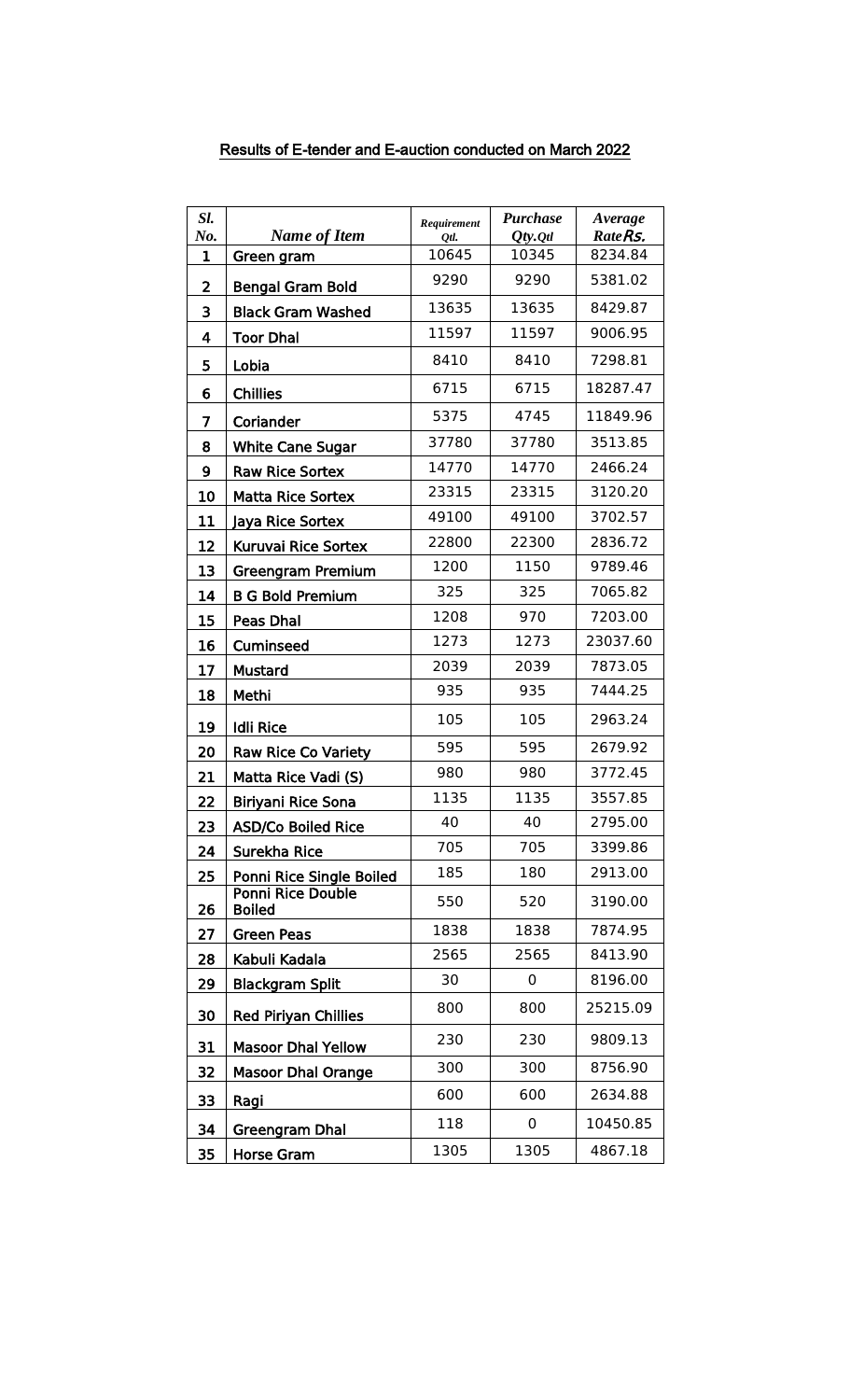| Sl.                     | <b>Name of Item</b>                       | Requirement   | <b>Purchase</b>            | Average<br>RateRs. |
|-------------------------|-------------------------------------------|---------------|----------------------------|--------------------|
| No.<br>$\mathbf{1}$     | Green gram                                | Otl.<br>10645 | $Qty.$ <i>Qtl</i><br>10345 | 8234.84            |
| $\overline{\mathbf{2}}$ | <b>Bengal Gram Bold</b>                   | 9290          | 9290                       | 5381.02            |
| 3                       | <b>Black Gram Washed</b>                  | 13635         | 13635                      | 8429.87            |
| 4                       | <b>Toor Dhal</b>                          | 11597         | 11597                      | 9006.95            |
| 5                       | Lobia                                     | 8410          | 8410                       | 7298.81            |
| 6                       | <b>Chillies</b>                           | 6715          | 6715                       | 18287.47           |
| 7                       | Coriander                                 | 5375          | 4745                       | 11849.96           |
| 8                       | <b>White Cane Sugar</b>                   | 37780         | 37780                      | 3513.85            |
| 9                       | <b>Raw Rice Sortex</b>                    | 14770         | 14770                      | 2466.24            |
| 10                      | <b>Matta Rice Sortex</b>                  | 23315         | 23315                      | 3120.20            |
| 11                      | Jaya Rice Sortex                          | 49100         | 49100                      | 3702.57            |
| 12                      | Kuruvai Rice Sortex                       | 22800         | 22300                      | 2836.72            |
| 13                      | Greengram Premium                         | 1200          | 1150                       | 9789.46            |
| 14                      | <b>B G Bold Premium</b>                   | 325           | 325                        | 7065.82            |
| 15                      | Peas Dhal                                 | 1208          | 970                        | 7203.00            |
| 16                      | Cuminseed                                 | 1273          | 1273                       | 23037.60           |
| 17                      | <b>Mustard</b>                            | 2039          | 2039                       | 7873.05            |
| 18                      | Methi                                     | 935           | 935                        | 7444.25            |
| 19                      | <b>Idli Rice</b>                          | 105           | 105                        | 2963.24            |
| 20                      | <b>Raw Rice Co Variety</b>                | 595           | 595                        | 2679.92            |
| 21                      | Matta Rice Vadi (S)                       | 980           | 980                        | 3772.45            |
| 22                      | <b>Biriyani Rice Sona</b>                 | 1135          | 1135                       | 3557.85            |
| 23                      | <b>ASD/Co Boiled Rice</b>                 | 40            | 40                         | 2795.00            |
| 24                      | Surekha Rice                              | 705           | 705                        | 3399.86            |
| 25                      | Ponni Rice Single Boiled                  | 185           | 180                        | 2913.00            |
| 26                      | <b>Ponni Rice Double</b><br><b>Boiled</b> | 550           | 520                        | 3190.00            |
| 27                      | <b>Green Peas</b>                         | 1838          | 1838                       | 7874.95            |
| 28                      | Kabuli Kadala                             | 2565          | 2565                       | 8413.90            |
| 29                      | <b>Blackgram Split</b>                    | 30            | 0                          | 8196.00            |
| 30                      | <b>Red Piriyan Chillies</b>               | 800           | 800                        | 25215.09           |
| 31                      | <b>Masoor Dhal Yellow</b>                 | 230           | 230                        | 9809.13            |
| 32                      | <b>Masoor Dhal Orange</b>                 | 300           | 300                        | 8756.90            |
| 33                      | Ragi                                      | 600           | 600                        | 2634.88            |
| 34                      | <b>Greengram Dhal</b>                     | 118           | 0                          | 10450.85           |
| 35                      | <b>Horse Gram</b>                         | 1305          | 1305                       | 4867.18            |

## Results of E-tender and E-auction conducted on March 2022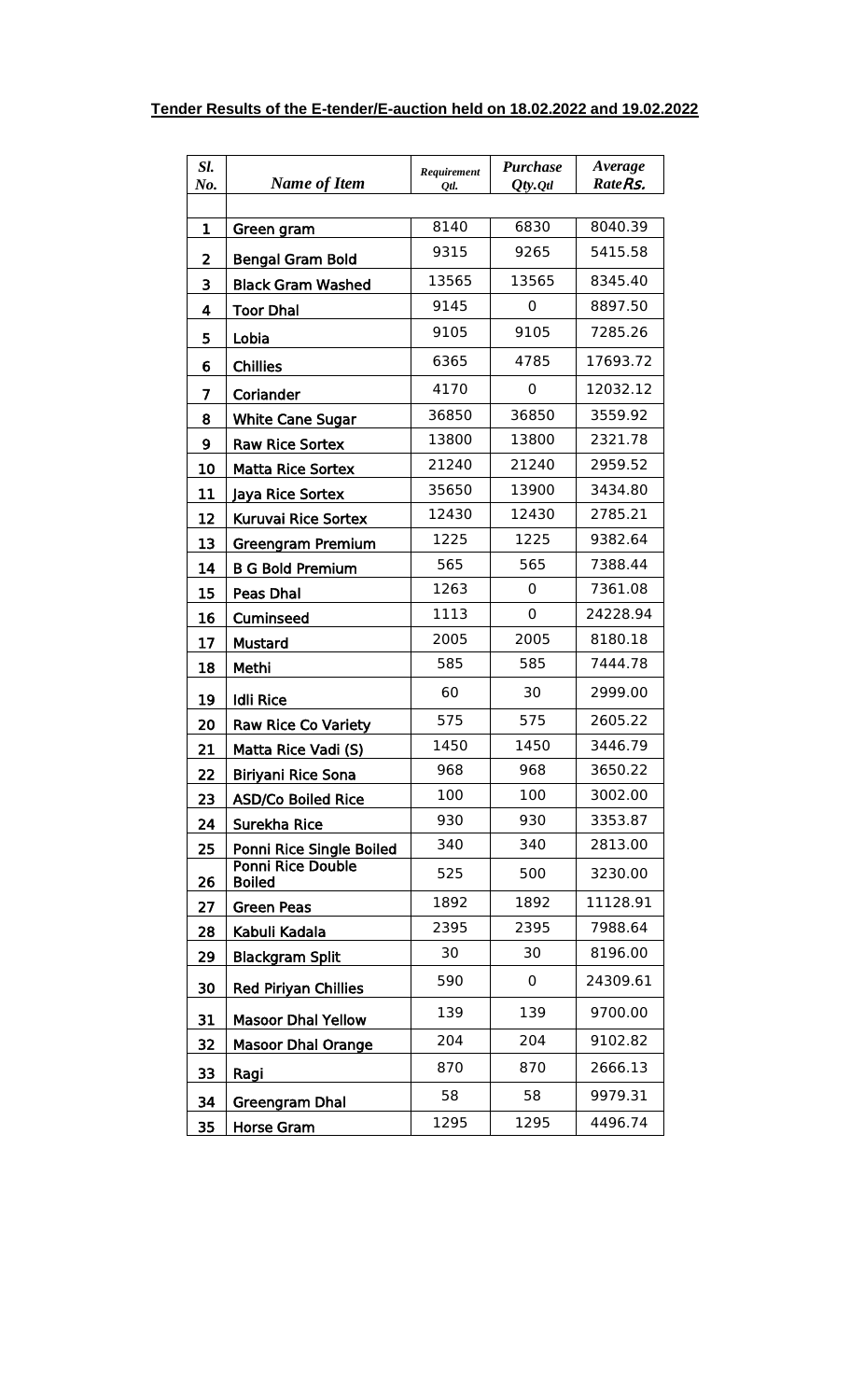| Sl.<br>No. | <b>Name of Item</b>                       | Requirement<br>Otl. | <b>Purchase</b><br>$Qty.$ Qtl | Average<br>RateRs. |
|------------|-------------------------------------------|---------------------|-------------------------------|--------------------|
|            |                                           |                     |                               |                    |
| 1          | Green gram                                | 8140                | 6830                          | 8040.39            |
| 2          | <b>Bengal Gram Bold</b>                   | 9315                | 9265                          | 5415.58            |
| 3          | <b>Black Gram Washed</b>                  | 13565               | 13565                         | 8345.40            |
| 4          | <b>Toor Dhal</b>                          | 9145                | 0                             | 8897.50            |
| 5          | Lobia                                     | 9105                | 9105                          | 7285.26            |
| 6          | <b>Chillies</b>                           | 6365                | 4785                          | 17693.72           |
| 7          | Coriander                                 | 4170                | 0                             | 12032.12           |
| 8          | White Cane Sugar                          | 36850               | 36850                         | 3559.92            |
| 9          | <b>Raw Rice Sortex</b>                    | 13800               | 13800                         | 2321.78            |
| 10         | <b>Matta Rice Sortex</b>                  | 21240               | 21240                         | 2959.52            |
| 11         | Jaya Rice Sortex                          | 35650               | 13900                         | 3434.80            |
| 12         | Kuruvai Rice Sortex                       | 12430               | 12430                         | 2785.21            |
| 13         | <b>Greengram Premium</b>                  | 1225                | 1225                          | 9382.64            |
| 14         | <b>B G Bold Premium</b>                   | 565                 | 565                           | 7388.44            |
| 15         | Peas Dhal                                 | 1263                | 0                             | 7361.08            |
| 16         | Cuminseed                                 | 1113                | 0                             | 24228.94           |
| 17         | <b>Mustard</b>                            | 2005                | 2005                          | 8180.18            |
| 18         | Methi                                     | 585                 | 585                           | 7444.78            |
| 19         | <b>Idli Rice</b>                          | 60                  | 30                            | 2999.00            |
| 20         | <b>Raw Rice Co Variety</b>                | 575                 | 575                           | 2605.22            |
| 21         | Matta Rice Vadi (S)                       | 1450                | 1450                          | 3446.79            |
| 22         | Biriyani Rice Sona                        | 968                 | 968                           | 3650.22            |
| 23         | <b>ASD/Co Boiled Rice</b>                 | 100                 | 100                           | 3002.00            |
| 24         | Surekha Rice                              | 930                 | 930                           | 3353.87            |
| 25         | Ponni Rice Single Boiled                  | 340                 | 340                           | 2813.00            |
| 26         | <b>Ponni Rice Double</b><br><b>Boiled</b> | 525                 | 500                           | 3230.00            |
| 27         | <b>Green Peas</b>                         | 1892                | 1892                          | 11128.91           |
| 28         | Kabuli Kadala                             | 2395                | 2395                          | 7988.64            |
| 29         | <b>Blackgram Split</b>                    | 30                  | 30                            | 8196.00            |
| 30         | <b>Red Piriyan Chillies</b>               | 590                 | 0                             | 24309.61           |
| 31         | <b>Masoor Dhal Yellow</b>                 | 139                 | 139                           | 9700.00            |
| 32         | <b>Masoor Dhal Orange</b>                 | 204                 | 204                           | 9102.82            |
| 33         | Ragi                                      | 870                 | 870                           | 2666.13            |
| 34         | <b>Greengram Dhal</b>                     | 58                  | 58                            | 9979.31            |
| 35         | <b>Horse Gram</b>                         | 1295                | 1295                          | 4496.74            |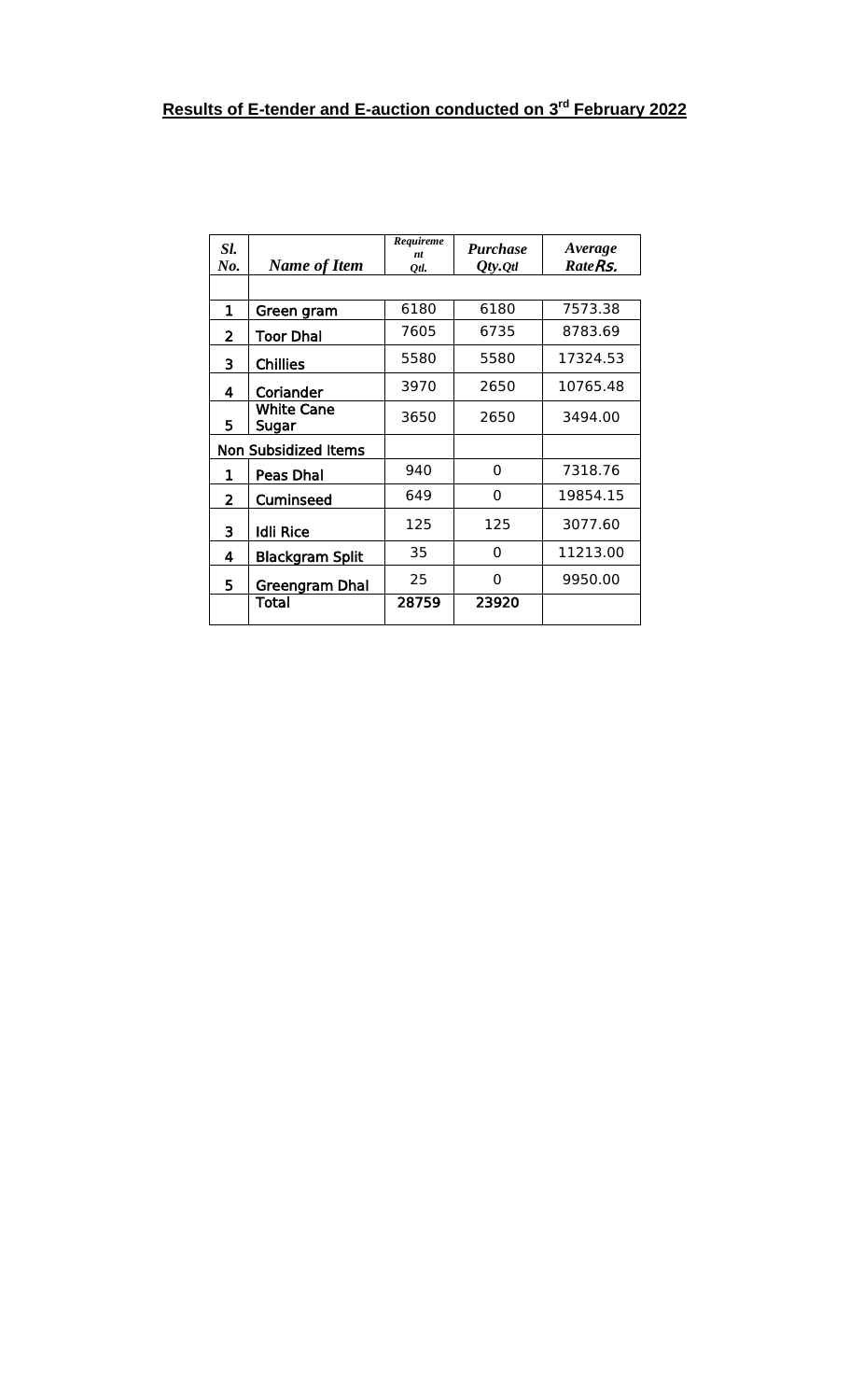| Sl.<br>No. | <b>Name of Item</b>         | Requireme<br>nt<br>Otl. | <b>Purchase</b><br>$Qty.$ Qtl | Average<br>Rate <sub>Rs.</sub> |
|------------|-----------------------------|-------------------------|-------------------------------|--------------------------------|
|            |                             |                         |                               |                                |
| 1          | Green gram                  | 6180                    | 6180                          | 7573.38                        |
| 2          | <b>Toor Dhal</b>            | 7605                    | 6735                          | 8783.69                        |
| 3          | <b>Chillies</b>             | 5580                    | 5580                          | 17324.53                       |
| 4          | Coriander                   | 3970                    | 2650                          | 10765.48                       |
| 5          | <b>White Cane</b><br>Sugar  | 3650                    | 2650                          | 3494.00                        |
|            | <b>Non Subsidized Items</b> |                         |                               |                                |
| 1          | <b>Peas Dhal</b>            | 940                     | 0                             | 7318.76                        |
| 2          | Cuminseed                   | 649                     | 0                             | 19854.15                       |
| 3          | <b>Idli Rice</b>            | 125                     | 125                           | 3077.60                        |
| 4          | <b>Blackgram Split</b>      | 35                      | 0                             | 11213.00                       |
| 5          | Greengram Dhal              | 25                      | 0                             | 9950.00                        |
|            | Total                       | 28759                   | 23920                         |                                |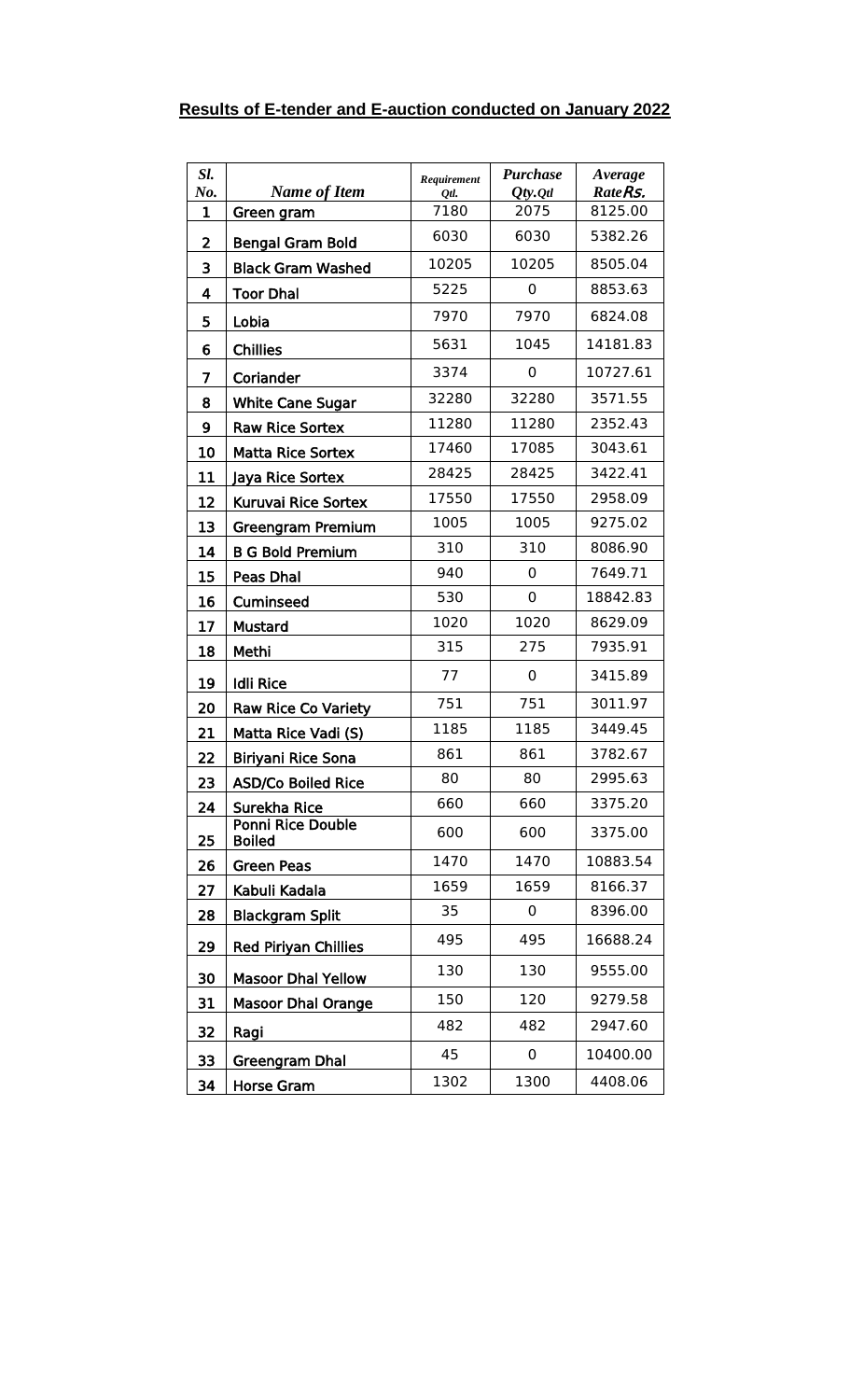|  |  | <b>Results of E-tender and E-auction conducted on January 2022</b> |  |
|--|--|--------------------------------------------------------------------|--|
|  |  |                                                                    |  |

| Sl.<br>No.   | <b>Name of Item</b>                | Requirement<br>Otl. | <b>Purchase</b><br>$Qty.$ <i>Qtl</i> | Average<br>RateRs. |
|--------------|------------------------------------|---------------------|--------------------------------------|--------------------|
| $\mathbf{1}$ | Green gram                         | 7180                | 2075                                 | 8125.00            |
| 2            | <b>Bengal Gram Bold</b>            | 6030                | 6030                                 | 5382.26            |
| 3            | <b>Black Gram Washed</b>           | 10205               | 10205                                | 8505.04            |
| 4            | <b>Toor Dhal</b>                   | 5225                | 0                                    | 8853.63            |
| 5            | Lobia                              | 7970                | 7970                                 | 6824.08            |
| 6            | <b>Chillies</b>                    | 5631                | 1045                                 | 14181.83           |
| 7            | Coriander                          | 3374                | 0                                    | 10727.61           |
| 8            | <b>White Cane Sugar</b>            | 32280               | 32280                                | 3571.55            |
| 9            | <b>Raw Rice Sortex</b>             | 11280               | 11280                                | 2352.43            |
| 10           | <b>Matta Rice Sortex</b>           | 17460               | 17085                                | 3043.61            |
| 11           | Jaya Rice Sortex                   | 28425               | 28425                                | 3422.41            |
| 12           | Kuruvai Rice Sortex                | 17550               | 17550                                | 2958.09            |
| 13           | <b>Greengram Premium</b>           | 1005                | 1005                                 | 9275.02            |
| 14           | <b>B G Bold Premium</b>            | 310                 | 310                                  | 8086.90            |
| 15           | Peas Dhal                          | 940                 | 0                                    | 7649.71            |
| 16           | Cuminseed                          | 530                 | 0                                    | 18842.83           |
| 17           | <b>Mustard</b>                     | 1020                | 1020                                 | 8629.09            |
| 18           | Methi                              | 315                 | 275                                  | 7935.91            |
| 19           | <b>Idli Rice</b>                   | 77                  | 0                                    | 3415.89            |
| 20           | <b>Raw Rice Co Variety</b>         | 751                 | 751                                  | 3011.97            |
| 21           | Matta Rice Vadi (S)                | 1185                | 1185                                 | 3449.45            |
| 22           | <b>Biriyani Rice Sona</b>          | 861                 | 861                                  | 3782.67            |
| 23           | <b>ASD/Co Boiled Rice</b>          | 80                  | 80                                   | 2995.63            |
| 24           | Surekha Rice                       | 660                 | 660                                  | 3375.20            |
| 25           | Ponni Rice Double<br><b>Boiled</b> | 600                 | 600                                  | 3375.00            |
| 26           | <b>Green Peas</b>                  | 1470                | 1470                                 | 10883.54           |
| 27           | Kabuli Kadala                      | 1659                | 1659                                 | 8166.37            |
| 28           | <b>Blackgram Split</b>             | 35                  | 0                                    | 8396.00            |
| 29           | <b>Red Piriyan Chillies</b>        | 495                 | 495                                  | 16688.24           |
| 30           | <b>Masoor Dhal Yellow</b>          | 130                 | 130                                  | 9555.00            |
| 31           | <b>Masoor Dhal Orange</b>          | 150                 | 120                                  | 9279.58            |
| 32           | Ragi                               | 482                 | 482                                  | 2947.60            |
| 33           | <b>Greengram Dhal</b>              | 45                  | 0                                    | 10400.00           |
| 34           | Horse Gram                         | 1302                | 1300                                 | 4408.06            |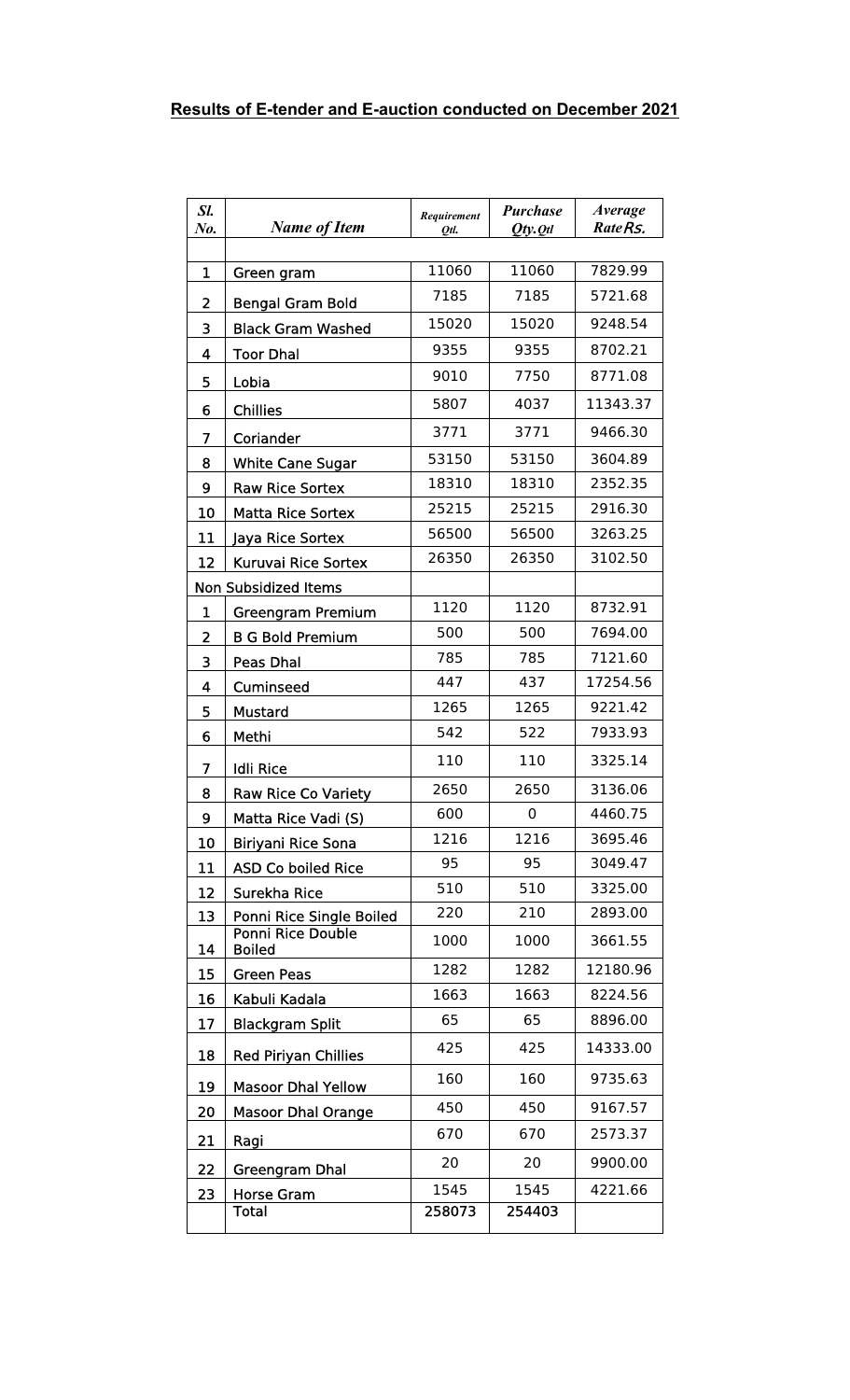| Sl.<br>No. | <b>Name of Item</b>                       | Requirement<br>Otl. | <b>Purchase</b><br>$Qty.$ <i>Qtl</i> | Average<br>Rate <sub>Rs.</sub> |
|------------|-------------------------------------------|---------------------|--------------------------------------|--------------------------------|
| 1          |                                           | 11060               | 11060                                | 7829.99                        |
|            | Green gram                                | 7185                | 7185                                 | 5721.68                        |
| 2          | <b>Bengal Gram Bold</b>                   |                     |                                      |                                |
| 3          | <b>Black Gram Washed</b>                  | 15020               | 15020<br>9355                        | 9248.54                        |
| 4          | <b>Toor Dhal</b>                          | 9355                |                                      | 8702.21                        |
| 5          | Lobia                                     | 9010                | 7750                                 | 8771.08                        |
| 6          | <b>Chillies</b>                           | 5807                | 4037                                 | 11343.37                       |
| 7          | Coriander                                 | 3771                | 3771                                 | 9466.30                        |
| 8          | <b>White Cane Sugar</b>                   | 53150               | 53150                                | 3604.89                        |
| 9          | <b>Raw Rice Sortex</b>                    | 18310               | 18310                                | 2352.35                        |
| 10         | <b>Matta Rice Sortex</b>                  | 25215               | 25215                                | 2916.30                        |
| 11         | Jaya Rice Sortex                          | 56500               | 56500                                | 3263.25                        |
| 12         | Kuruvai Rice Sortex                       | 26350               | 26350                                | 3102.50                        |
|            | <b>Non Subsidized Items</b>               |                     |                                      |                                |
| 1          | <b>Greengram Premium</b>                  | 1120                | 1120                                 | 8732.91                        |
| 2          | <b>B G Bold Premium</b>                   | 500                 | 500                                  | 7694.00                        |
| 3          | Peas Dhal                                 | 785                 | 785                                  | 7121.60                        |
| 4          | Cuminseed                                 | 447                 | 437                                  | 17254.56                       |
| 5          | <b>Mustard</b>                            | 1265                | 1265                                 | 9221.42                        |
| 6          | Methi                                     | 542                 | 522                                  | 7933.93                        |
| 7          | <b>Idli Rice</b>                          | 110                 | 110                                  | 3325.14                        |
| 8          | <b>Raw Rice Co Variety</b>                | 2650                | 2650                                 | 3136.06                        |
| 9          | Matta Rice Vadi (S)                       | 600                 | 0                                    | 4460.75                        |
| 10         | <b>Biriyani Rice Sona</b>                 | 1216                | 1216                                 | 3695.46                        |
| 11         | <b>ASD Co boiled Rice</b>                 | 95                  | 95                                   | 3049.47                        |
| 12         | Surekha Rice                              | 510                 | 510                                  | 3325.00                        |
| 13         | Ponni Rice Single Boiled                  | 220                 | 210                                  | 2893.00                        |
| 14         | <b>Ponni Rice Double</b><br><b>Boiled</b> | 1000                | 1000                                 | 3661.55                        |
| 15         | <b>Green Peas</b>                         | 1282                | 1282                                 | 12180.96                       |
| 16         | Kabuli Kadala                             | 1663                | 1663                                 | 8224.56                        |
| 17         | <b>Blackgram Split</b>                    | 65                  | 65                                   | 8896.00                        |
| 18         | <b>Red Piriyan Chillies</b>               | 425                 | 425                                  | 14333.00                       |
| 19         | <b>Masoor Dhal Yellow</b>                 | 160                 | 160                                  | 9735.63                        |
| 20         | <b>Masoor Dhal Orange</b>                 | 450                 | 450                                  | 9167.57                        |
| 21         | Ragi                                      | 670                 | 670                                  | 2573.37                        |
| 22         | Greengram Dhal                            | 20                  | 20                                   | 9900.00                        |
| 23         | <b>Horse Gram</b>                         | 1545                | 1545                                 | 4221.66                        |
|            | Total                                     | 258073              | 254403                               |                                |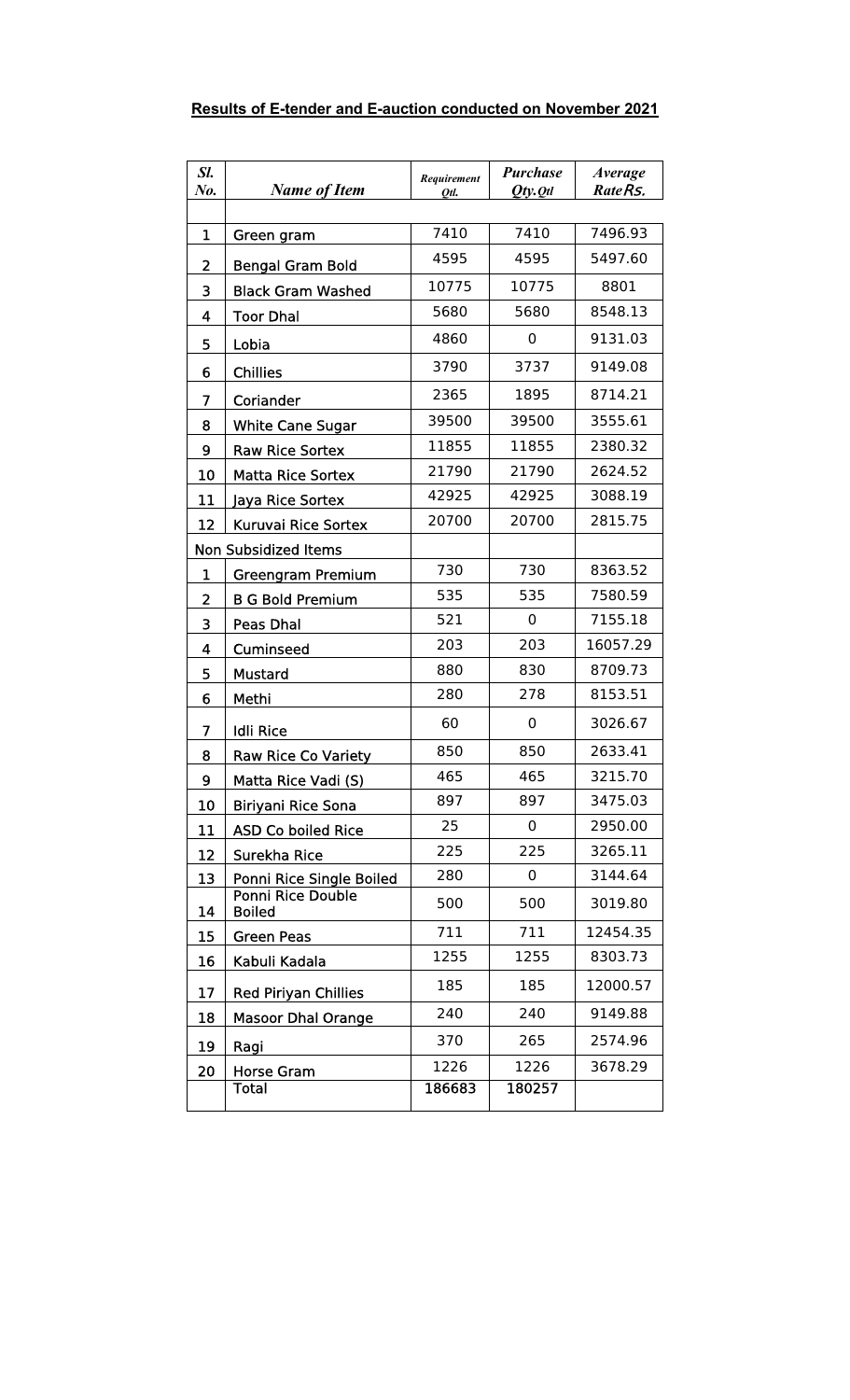| Results of E-tender and E-auction conducted on November 2021 |
|--------------------------------------------------------------|
|--------------------------------------------------------------|

| Sl.<br>No.              | <b>Name of Item</b>                | Requirement<br>Otl. | <b>Purchase</b><br>$Qty.$ <i>Qtl</i> | <b>Average</b><br>Rate <sub>Rs</sub> , |
|-------------------------|------------------------------------|---------------------|--------------------------------------|----------------------------------------|
|                         |                                    |                     |                                      |                                        |
| 1                       | Green gram                         | 7410                | 7410                                 | 7496.93                                |
| 2                       | <b>Bengal Gram Bold</b>            | 4595                | 4595                                 | 5497.60                                |
| 3                       | <b>Black Gram Washed</b>           | 10775               | 10775                                | 8801                                   |
| $\overline{\mathbf{4}}$ | <b>Toor Dhal</b>                   | 5680                | 5680                                 | 8548.13                                |
| 5                       | Lobia                              | 4860                | 0                                    | 9131.03                                |
| 6                       | <b>Chillies</b>                    | 3790                | 3737                                 | 9149.08                                |
| 7                       | Coriander                          | 2365                | 1895                                 | 8714.21                                |
| 8                       | <b>White Cane Sugar</b>            | 39500               | 39500                                | 3555.61                                |
| 9                       | <b>Raw Rice Sortex</b>             | 11855               | 11855                                | 2380.32                                |
| 10                      | <b>Matta Rice Sortex</b>           | 21790               | 21790                                | 2624.52                                |
| 11                      | Jaya Rice Sortex                   | 42925               | 42925                                | 3088.19                                |
| 12                      | <b>Kuruvai Rice Sortex</b>         | 20700               | 20700                                | 2815.75                                |
|                         | <b>Non Subsidized Items</b>        |                     |                                      |                                        |
| 1                       | <b>Greengram Premium</b>           | 730                 | 730                                  | 8363.52                                |
| $\overline{2}$          | <b>B G Bold Premium</b>            | 535                 | 535                                  | 7580.59                                |
| 3                       | <b>Peas Dhal</b>                   | 521                 | 0                                    | 7155.18                                |
| 4                       | Cuminseed                          | 203                 | 203                                  | 16057.29                               |
| 5                       | <b>Mustard</b>                     | 880                 | 830                                  | 8709.73                                |
| 6                       | Methi                              | 280                 | 278                                  | 8153.51                                |
| 7                       | <b>Idli Rice</b>                   | 60                  | 0                                    | 3026.67                                |
| 8                       | <b>Raw Rice Co Variety</b>         | 850                 | 850                                  | 2633.41                                |
| 9                       | Matta Rice Vadi (S)                | 465                 | 465                                  | 3215.70                                |
| 10                      | <b>Biriyani Rice Sona</b>          | 897                 | 897                                  | 3475.03                                |
| 11                      | <b>ASD Co boiled Rice</b>          | 25                  | 0                                    | 2950.00                                |
| 12                      | Surekha Rice                       | 225                 | 225                                  | 3265.11                                |
| 13                      | Ponni Rice Single Boiled           | 280                 | 0                                    | 3144.64                                |
| 14                      | Ponni Rice Double<br><b>Boiled</b> | 500                 | 500                                  | 3019.80                                |
| 15                      | <b>Green Peas</b>                  | 711                 | 711                                  | 12454.35                               |
| 16                      | Kabuli Kadala                      | 1255                | 1255                                 | 8303.73                                |
| 17                      | <b>Red Piriyan Chillies</b>        | 185                 | 185                                  | 12000.57                               |
| 18                      | <b>Masoor Dhal Orange</b>          | 240                 | 240                                  | 9149.88                                |
| 19                      | Ragi                               | 370                 | 265                                  | 2574.96                                |
| 20                      | <b>Horse Gram</b>                  | 1226                | 1226                                 | 3678.29                                |
|                         | <b>Total</b>                       | 186683              | 180257                               |                                        |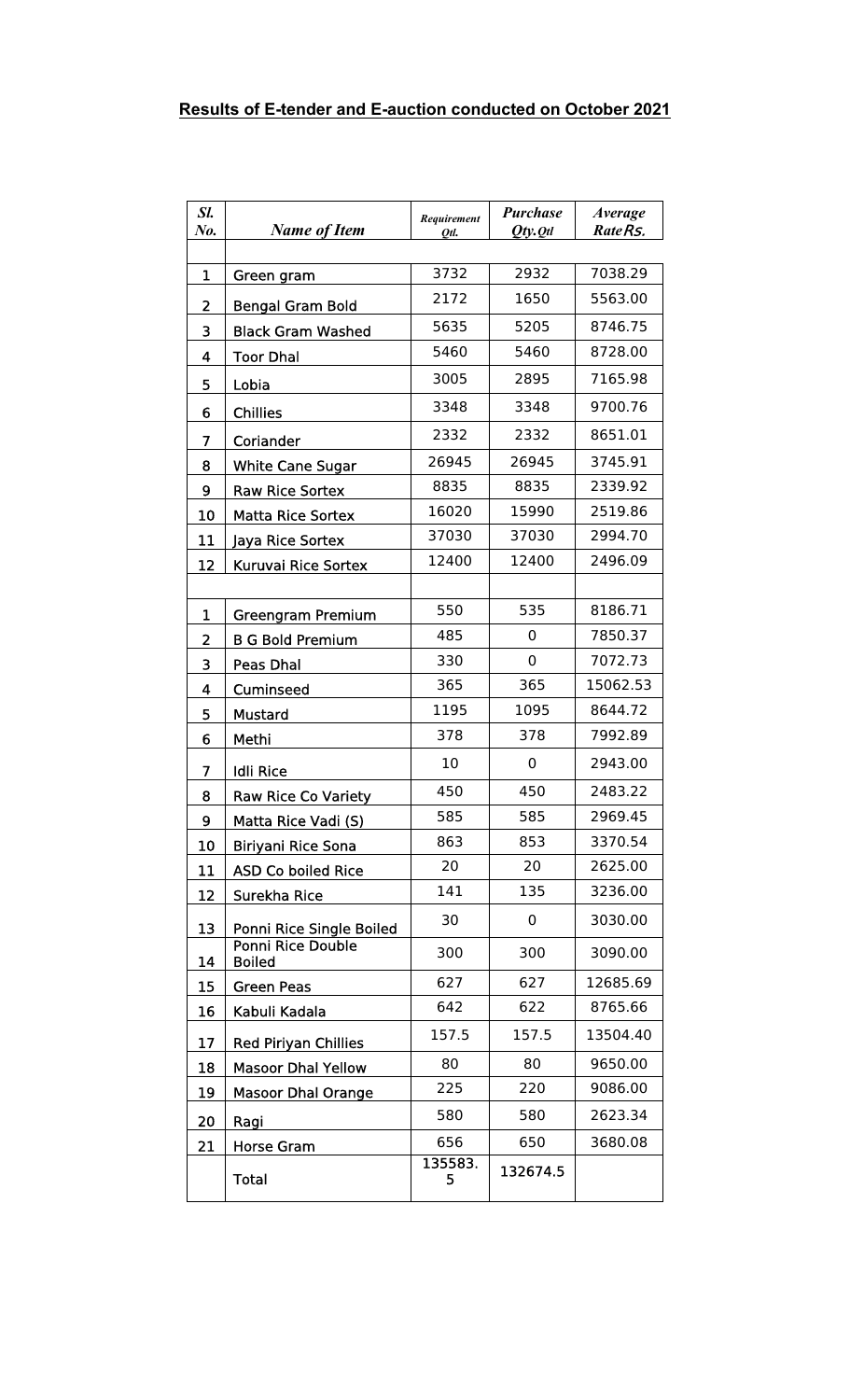| Sl.<br>No.                   | <b>Name of Item</b>                                 | Requirement<br>Otl. | <b>Purchase</b><br>$Qty.$ <i>Qtl</i> | Average<br>RateRs. |
|------------------------------|-----------------------------------------------------|---------------------|--------------------------------------|--------------------|
| 1                            | Green gram                                          | 3732                | 2932                                 | 7038.29            |
|                              |                                                     | 2172                | 1650                                 | 5563.00            |
| $\overline{\mathbf{2}}$<br>3 | <b>Bengal Gram Bold</b><br><b>Black Gram Washed</b> | 5635                | 5205                                 | 8746.75            |
| 4                            | <b>Toor Dhal</b>                                    | 5460                | 5460                                 | 8728.00            |
| 5                            |                                                     | 3005                | 2895                                 | 7165.98            |
|                              | Lobia                                               | 3348                | 3348                                 | 9700.76            |
| 6                            | <b>Chillies</b>                                     | 2332                | 2332                                 | 8651.01            |
| 7                            | Coriander                                           | 26945               | 26945                                | 3745.91            |
| 8                            | <b>White Cane Sugar</b>                             | 8835                | 8835                                 | 2339.92            |
| 9                            | <b>Raw Rice Sortex</b>                              | 16020               | 15990                                | 2519.86            |
| 10<br>11                     | <b>Matta Rice Sortex</b>                            | 37030               | 37030                                | 2994.70            |
| 12                           | Jaya Rice Sortex<br>Kuruvai Rice Sortex             | 12400               | 12400                                | 2496.09            |
|                              |                                                     |                     |                                      |                    |
| 1                            | Greengram Premium                                   | 550                 | 535                                  | 8186.71            |
| 2                            | <b>B G Bold Premium</b>                             | 485                 | 0                                    | 7850.37            |
| 3                            | Peas Dhal                                           | 330                 | 0                                    | 7072.73            |
| $\overline{\mathbf{4}}$      | <b>Cuminseed</b>                                    | 365                 | 365                                  | 15062.53           |
| 5                            | <b>Mustard</b>                                      | 1195                | 1095                                 | 8644.72            |
| 6                            | Methi                                               | 378                 | 378                                  | 7992.89            |
| 7                            | <b>Idli Rice</b>                                    | 10                  | 0                                    | 2943.00            |
| 8                            | <b>Raw Rice Co Variety</b>                          | 450                 | 450                                  | 2483.22            |
| 9                            | Matta Rice Vadi (S)                                 | 585                 | 585                                  | 2969.45            |
| 10                           | Biriyani Rice Sona                                  | 863                 | 853                                  | 3370.54            |
| 11                           | <b>ASD Co boiled Rice</b>                           | 20                  | 20                                   | 2625.00            |
| 12                           | Surekha Rice                                        | 141                 | 135                                  | 3236.00            |
| 13                           | Ponni Rice Single Boiled                            | 30                  | 0                                    | 3030.00            |
| 14                           | <b>Ponni Rice Double</b><br><b>Boiled</b>           | 300                 | 300                                  | 3090.00            |
| 15                           | <b>Green Peas</b>                                   | 627                 | 627                                  | 12685.69           |
| 16                           | Kabuli Kadala                                       | 642                 | 622                                  | 8765.66            |
| 17                           | <b>Red Piriyan Chillies</b>                         | 157.5               | 157.5                                | 13504.40           |
| 18                           | <b>Masoor Dhal Yellow</b>                           | 80                  | 80                                   | 9650.00            |
| 19                           | <b>Masoor Dhal Orange</b>                           | 225                 | 220                                  | 9086.00            |
| 20                           | Ragi                                                | 580                 | 580                                  | 2623.34            |
| 21                           | <b>Horse Gram</b>                                   | 656                 | 650                                  | 3680.08            |
|                              | <b>Total</b>                                        | 135583.<br>5        | 132674.5                             |                    |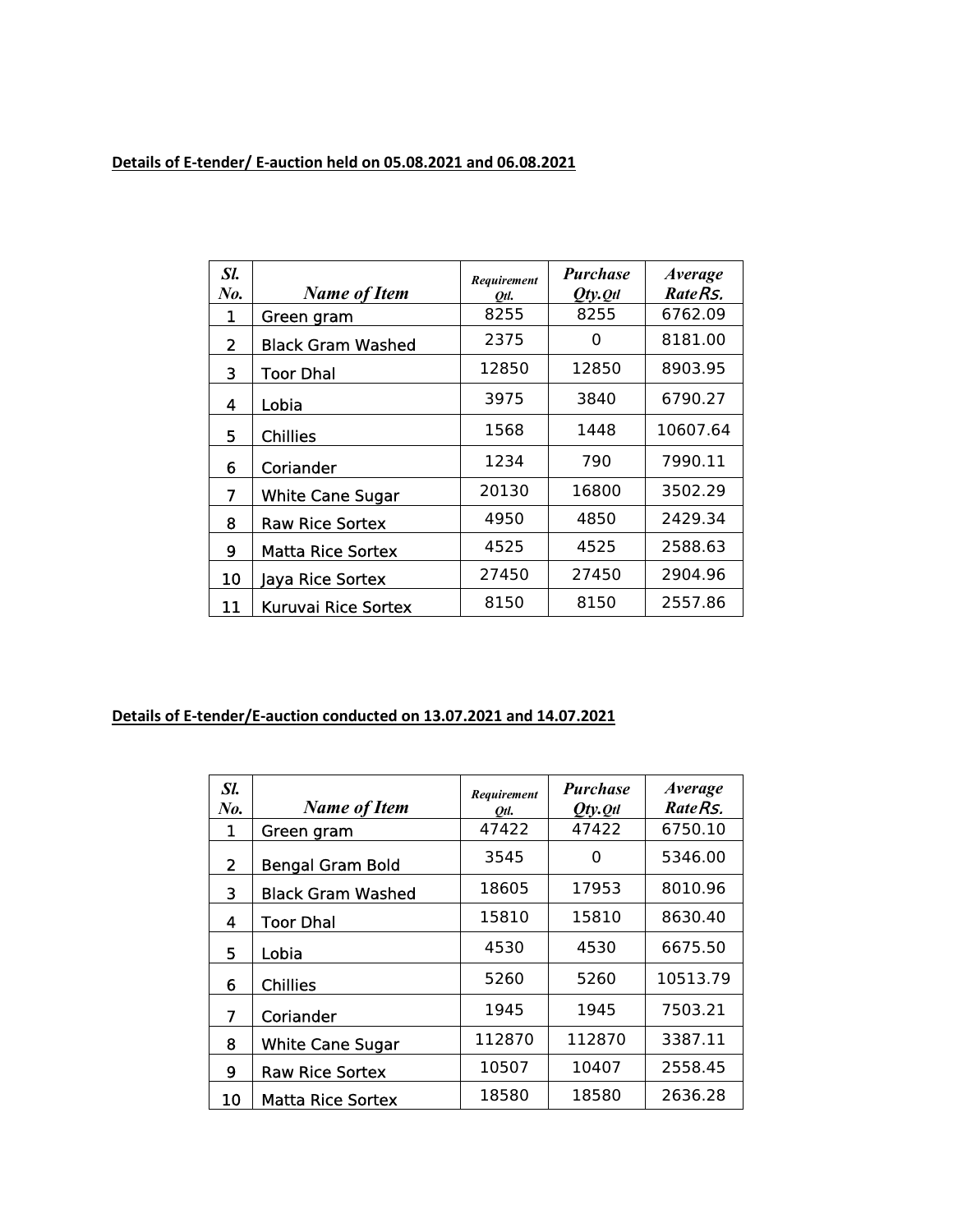## **Details of E-tender/ E-auction held on 05.08.2021 and 06.08.2021**

| Sl.<br>$N_{0.}$ | <b>Name of Item</b>        | Requirement<br>Otl. | <b>Purchase</b><br>$Qty.$ Qtl | <i>Average</i><br>RateRs. |
|-----------------|----------------------------|---------------------|-------------------------------|---------------------------|
| 1               | Green gram                 | 8255                | 8255                          | 6762.09                   |
| $\overline{2}$  | <b>Black Gram Washed</b>   | 2375                | Ω                             | 8181.00                   |
| 3               | <b>Toor Dhal</b>           | 12850               | 12850                         | 8903.95                   |
| 4               | Lobia                      | 3975                | 3840                          | 6790.27                   |
| 5               | <b>Chillies</b>            | 1568                | 1448                          | 10607.64                  |
| 6               | Coriander                  | 1234                | 790                           | 7990.11                   |
| 7               | <b>White Cane Sugar</b>    | 20130               | 16800                         | 3502.29                   |
| 8               | <b>Raw Rice Sortex</b>     | 4950                | 4850                          | 2429.34                   |
| 9               | Matta Rice Sortex          | 4525                | 4525                          | 2588.63                   |
| 10              | Jaya Rice Sortex           | 27450               | 27450                         | 2904.96                   |
| 11              | <b>Kuruvai Rice Sortex</b> | 8150                | 8150                          | 2557.86                   |

## **Details of E-tender/E-auction conducted on 13.07.2021 and 14.07.2021**

| Sl.<br>No.     | <b>Name of Item</b>      | Requirement<br>Otl. | <b>Purchase</b><br>$Qty.$ Qtl | <b>Average</b><br>RateRs. |
|----------------|--------------------------|---------------------|-------------------------------|---------------------------|
| 1              | Green gram               | 47422               | 47422                         | 6750.10                   |
| $\overline{2}$ | <b>Bengal Gram Bold</b>  | 3545                | 0                             | 5346.00                   |
| 3              | <b>Black Gram Washed</b> | 18605               | 17953                         | 8010.96                   |
| 4              | <b>Toor Dhal</b>         | 15810               | 15810                         | 8630.40                   |
| 5              | Lobia                    | 4530                | 4530                          | 6675.50                   |
| 6              | <b>Chillies</b>          | 5260                | 5260                          | 10513.79                  |
| 7              | Coriander                | 1945                | 1945                          | 7503.21                   |
| 8              | <b>White Cane Sugar</b>  | 112870              | 112870                        | 3387.11                   |
| 9              | <b>Raw Rice Sortex</b>   | 10507               | 10407                         | 2558.45                   |
| 10             | <b>Matta Rice Sortex</b> | 18580               | 18580                         | 2636.28                   |